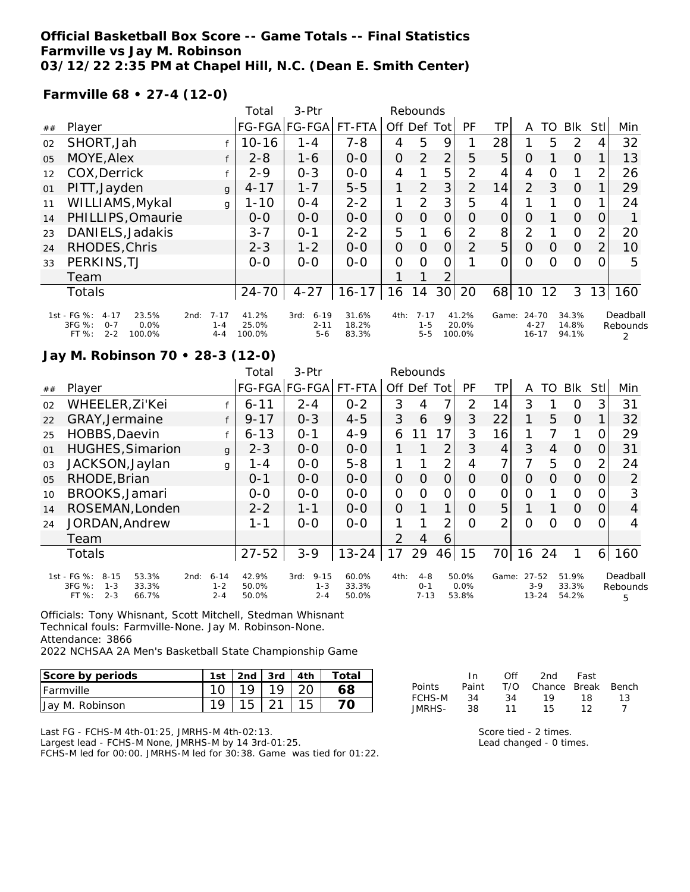#### **Official Basketball Box Score -- Game Totals -- Final Statistics Farmville vs Jay M. Robinson 03/12/22 2:35 PM at Chapel Hill, N.C. (Dean E. Smith Center)**

#### **Farmville 68 • 27-4 (12-0)**

|    |                                                                                             |      | Total                          | $3-$ Ptr                 |                                         |                         | Rebounds       |                                |                 |                          |                |                                |    |                         |                |                           |
|----|---------------------------------------------------------------------------------------------|------|--------------------------------|--------------------------|-----------------------------------------|-------------------------|----------------|--------------------------------|-----------------|--------------------------|----------------|--------------------------------|----|-------------------------|----------------|---------------------------|
| ## | Player                                                                                      |      |                                |                          | FG-FGA FG-FGA                           | FT-FTA                  | Off Def        |                                | Tot             | <b>PF</b>                | TP             | A                              | TO | <b>BIK</b>              | <b>Stll</b>    | Min                       |
| 02 | SHORT, Jah                                                                                  |      |                                | $10 - 16$                | 1-4                                     | $7 - 8$                 | 4              | 5                              | 9               |                          | 28             |                                | 5  | 2                       | 4              | 32                        |
| 05 | MOYE, Alex                                                                                  |      |                                | $2 - 8$                  | $1 - 6$                                 | $0-0$                   | $\overline{O}$ | 2                              | $\overline{2}$  | 5                        | 5              | $\Omega$                       |    | 0                       |                | 13                        |
| 12 | COX, Derrick                                                                                |      |                                | $2 - 9$                  | $0 - 3$                                 | $0 - 0$                 | 4              |                                | 5               | $\overline{2}$           | 4              | 4                              | O  | 1                       | $\overline{2}$ | 26                        |
| 01 | PITT, Jayden                                                                                |      | $\mathsf{q}$                   | $4 - 17$                 | $1 - 7$                                 | $5 - 5$                 |                | $\overline{2}$                 | 3               | $\overline{2}$           | 14             | $\overline{2}$                 | 3  | $\Omega$                |                | 29                        |
| 11 | WILLIAMS, Mykal                                                                             |      | g                              | $1 - 10$                 | $O - 4$                                 | $2 - 2$                 | 1              | 2                              | 3               | 5                        | 4              |                                |    | $\Omega$                |                | 24                        |
| 14 | PHILLIPS, Omaurie                                                                           |      |                                | $0 - 0$                  | $0 - 0$                                 | $0 - 0$                 | $\overline{O}$ | $\Omega$                       | $\mathbf{O}$    | $\Omega$                 | $\overline{O}$ | $\Omega$                       |    | $\Omega$                | O              |                           |
| 23 | DANIELS, Jadakis                                                                            |      |                                | $3 - 7$                  | $O - 1$                                 | $2 - 2$                 | 5              |                                | 6               | 2                        | 8 <sup>1</sup> | $\overline{2}$                 |    | $\Omega$                | $\overline{2}$ | 20                        |
| 24 | RHODES, Chris                                                                               |      |                                | $2 - 3$                  | $1 - 2$                                 | $0 - 0$                 | $\overline{O}$ | 0                              | $\overline{O}$  | 2                        | 5 <sup>1</sup> | $\Omega$                       | O  | 0                       | $\overline{2}$ | 10                        |
| 33 | PERKINS, TJ                                                                                 |      |                                | $0 - 0$                  | $0 - 0$                                 | $0-0$                   | $\Omega$       | $\Omega$                       | 0               |                          | $\Omega$       | 0                              | Ω  | $\Omega$                | 0              | 5                         |
|    | Team                                                                                        |      |                                |                          |                                         |                         |                |                                | 2               |                          |                |                                |    |                         |                |                           |
|    | <b>Totals</b>                                                                               |      |                                | $24 - 70$                | $4 - 27$                                | $16 - 17$               | 16             | 14                             | 30 <sup>1</sup> | 20                       | 68             | 10                             | 12 | 3                       | 13             | 160                       |
|    | 1st - FG %:<br>$4 - 17$<br>23.5%<br>3FG %:<br>0.0%<br>$O - 7$<br>FT %:<br>$2 - 2$<br>100.0% | 2nd: | $7 - 17$<br>$1 - 4$<br>$4 - 4$ | 41.2%<br>25.0%<br>100.0% | $6 - 19$<br>3rd:<br>$2 - 11$<br>$5 - 6$ | 31.6%<br>18.2%<br>83.3% | 4th:           | $7 - 17$<br>$1 - 5$<br>$5 - 5$ |                 | 41.2%<br>20.0%<br>100.0% | Game:          | 24-70<br>$4 - 27$<br>$16 - 17$ |    | 34.3%<br>14.8%<br>94.1% |                | Deadball<br>Rebounds<br>2 |

#### **Jay M. Robinson 70 • 28-3 (12-0)**

|                |                                                                                           |      |                                | $3-$ Ptr<br>Total       |                                        |                         |                | Rebounds                       |     |                        |       |                             |    |                         |     |                           |
|----------------|-------------------------------------------------------------------------------------------|------|--------------------------------|-------------------------|----------------------------------------|-------------------------|----------------|--------------------------------|-----|------------------------|-------|-----------------------------|----|-------------------------|-----|---------------------------|
| ##             | Player                                                                                    |      |                                |                         | FG-FGA FG-FGA                          | FT-FTA                  | Off            | Def                            | Tot | <b>PF</b>              | TP.   | A                           | TO | <b>Blk</b>              | Stl | Min                       |
| 02             | WHEELER, Zi'Kei                                                                           |      |                                | $6 - 11$                | $2 - 4$                                | $0 - 2$                 | 3              | 4                              | 7   | 2                      | 14    | 3                           |    | 0                       | 3   | 31                        |
| 22             | GRAY, Jermaine                                                                            |      |                                | $9 - 17$                | $0 - 3$                                | $4 - 5$                 | 3              | 6                              | 9   | 3                      | 22    | 1                           | 5  | $\Omega$                |     | 32                        |
| 25             | HOBBS, Daevin                                                                             |      |                                | $6 - 13$                | $O - 1$                                | $4 - 9$                 | 6              |                                | 17  | 3                      | 16    | 1                           |    |                         |     | 29                        |
| 01             | <b>HUGHES, Simarion</b>                                                                   |      | $\mathbf{q}$                   | $2 - 3$                 | $0 - 0$                                | $0 - 0$                 |                |                                | 2   | 3                      | 4     | 3                           | 4  | $\Omega$                | Ω   | 31                        |
| 03             | JACKSON, Jaylan                                                                           |      | g                              | 1 - 4                   | $0 - 0$                                | $5 - 8$                 |                |                                | 2   | 4                      | 7     | 7                           | 5  | 0                       | 2   | 24                        |
| 0 <sub>5</sub> | RHODE, Brian                                                                              |      |                                | $0 - 1$                 | $0 - 0$                                | $0 - 0$                 | $\overline{O}$ | O                              | 0   | $\Omega$               | O     | O                           | Ω  | $\Omega$                | 0   | 2                         |
| 10             | BROOKS, Jamari                                                                            |      |                                | $0 - 0$                 | $0 - 0$                                | $0 - 0$                 | $\overline{O}$ | O                              | 0   | O                      | 0     | $\Omega$                    |    | 0                       | O   | 3                         |
| 14             | ROSEMAN, Londen                                                                           |      |                                | $2 - 2$                 | $1 - 1$                                | $0 - 0$                 | $\Omega$       |                                | 1   | $\Omega$               | 5     | 1                           |    | $\Omega$                | Ω   | $\overline{4}$            |
| 24             | JORDAN, Andrew                                                                            |      |                                | 1-1                     | $0-0$                                  | $0-0$                   |                |                                | 2   | $\Omega$               | 2     | ი                           | ∩  | Ω                       |     | 4                         |
|                | Team                                                                                      |      |                                |                         |                                        |                         | $\mathcal{P}$  | 4                              | 6   |                        |       |                             |    |                         |     |                           |
|                | Totals                                                                                    |      |                                | $27 - 52$               | $3 - 9$                                | $13 - 24$               | 17             | 29                             | 46  | 15                     | 70    | 16                          | 24 | 1                       | 6   | 160                       |
|                | 1st - FG %:<br>$8 - 15$<br>53.3%<br>3FG %:<br>33.3%<br>$1 - 3$<br>$2 - 3$<br>FT%<br>66.7% | 2nd: | $6 - 14$<br>$1 - 2$<br>$2 - 4$ | 42.9%<br>50.0%<br>50.0% | $9 - 15$<br>3rd:<br>$1 - 3$<br>$2 - 4$ | 60.0%<br>33.3%<br>50.0% | 4th:           | $4 - 8$<br>$O - 1$<br>$7 - 13$ |     | 50.0%<br>0.0%<br>53.8% | Game: | 27-52<br>$3-9$<br>$13 - 24$ |    | 51.9%<br>33.3%<br>54.2% |     | Deadball<br>Rebounds<br>5 |

Officials: Tony Whisnant, Scott Mitchell, Stedman Whisnant Technical fouls: Farmville-None. Jay M. Robinson-None. Attendance: 3866

2022 NCHSAA 2A Men's Basketball State Championship Game

| Score by periods  | 1st |           |                    | 2nd $\vert$ 3rd $\vert$ 4th $\vert$ | Total |
|-------------------|-----|-----------|--------------------|-------------------------------------|-------|
| <b>IFarmville</b> |     |           | $19$   $19$   $20$ |                                     | 68    |
| Jay M. Robinson   | 1 O | $15 \mid$ |                    |                                     |       |

Last FG - FCHS-M 4th-01:25, JMRHS-M 4th-02:13.

Largest lead - FCHS-M None, JMRHS-M by 14 3rd-01:25.

FCHS-M led for 00:00. JMRHS-M led for 30:38. Game was tied for 01:22.

|               | In.   | ∩ff | 2nd                    | Fast |    |
|---------------|-------|-----|------------------------|------|----|
| <b>Points</b> | Paint |     | T/O Chance Break Bench |      |    |
| FCHS-M        | 34    | -34 | 19                     | 18.  | 13 |
| JMRHS-        | 38.   | 11  | 15.                    | 12   |    |

Score tied - 2 times. Lead changed - 0 times.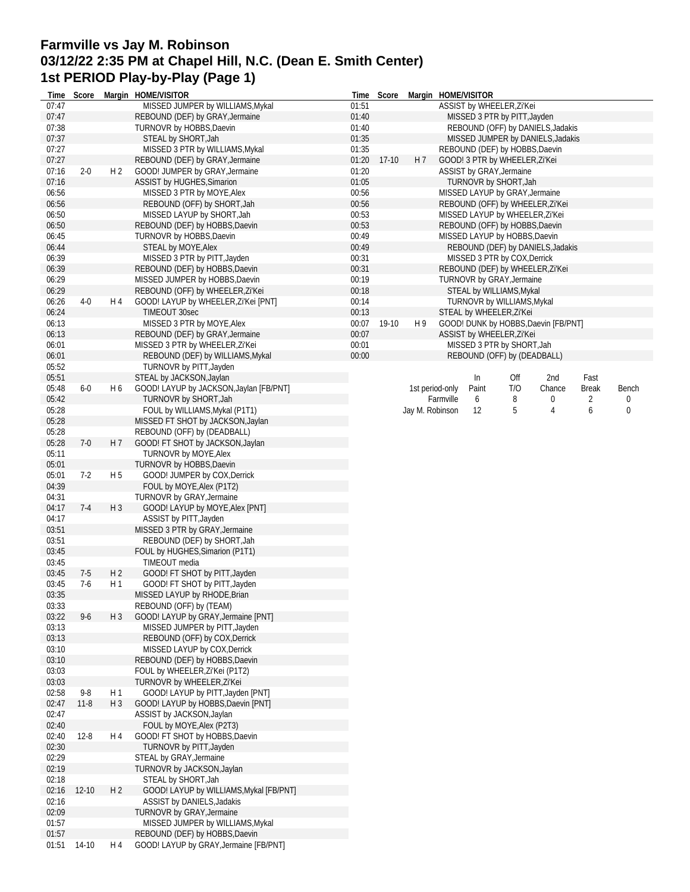## **Farmville vs Jay M. Robinson 03/12/22 2:35 PM at Chapel Hill, N.C. (Dean E. Smith Center) 1st PERIOD Play-by-Play (Page 1)**

| Time           | Score     |                | Margin HOME/VISITOR                                                 |                | Time Score  |                 | Margin HOME/VISITOR |       |                                |                                      |              |                  |
|----------------|-----------|----------------|---------------------------------------------------------------------|----------------|-------------|-----------------|---------------------|-------|--------------------------------|--------------------------------------|--------------|------------------|
| 07:47          |           |                | MISSED JUMPER by WILLIAMS, Mykal                                    | 01:51          |             |                 |                     |       | ASSIST by WHEELER, Zi'Kei      |                                      |              |                  |
| 07:47          |           |                | REBOUND (DEF) by GRAY, Jermaine                                     | 01:40          |             |                 |                     |       | MISSED 3 PTR by PITT, Jayden   |                                      |              |                  |
| 07:38          |           |                | TURNOVR by HOBBS, Daevin                                            | 01:40          |             |                 |                     |       |                                | REBOUND (OFF) by DANIELS, Jadakis    |              |                  |
| 07:37<br>07:27 |           |                | STEAL by SHORT, Jah<br>MISSED 3 PTR by WILLIAMS, Mykal              | 01:35<br>01:35 |             |                 |                     |       | REBOUND (DEF) by HOBBS, Daevin | MISSED JUMPER by DANIELS, Jadakis    |              |                  |
| 07:27          |           |                | REBOUND (DEF) by GRAY, Jermaine                                     | 01:20          | $17-10$     | H 7             |                     |       | GOOD! 3 PTR by WHEELER, Zi'Kei |                                      |              |                  |
| 07:16          | $2 - 0$   | H <sub>2</sub> | GOOD! JUMPER by GRAY, Jermaine                                      | 01:20          |             |                 |                     |       | ASSIST by GRAY, Jermaine       |                                      |              |                  |
| 07:16          |           |                | ASSIST by HUGHES, Simarion                                          | 01:05          |             |                 |                     |       | TURNOVR by SHORT, Jah          |                                      |              |                  |
| 06:56          |           |                | MISSED 3 PTR by MOYE, Alex                                          | 00:56          |             |                 |                     |       | MISSED LAYUP by GRAY, Jermaine |                                      |              |                  |
| 06:56          |           |                | REBOUND (OFF) by SHORT, Jah                                         | 00:56          |             |                 |                     |       |                                | REBOUND (OFF) by WHEELER, Zi'Kei     |              |                  |
| 06:50          |           |                | MISSED LAYUP by SHORT, Jah                                          | 00:53          |             |                 |                     |       |                                | MISSED LAYUP by WHEELER, Zi'Kei      |              |                  |
| 06:50          |           |                | REBOUND (DEF) by HOBBS, Daevin                                      | 00:53          |             |                 |                     |       | REBOUND (OFF) by HOBBS, Daevin |                                      |              |                  |
| 06:45          |           |                | TURNOVR by HOBBS, Daevin                                            | 00:49          |             |                 |                     |       | MISSED LAYUP by HOBBS, Daevin  |                                      |              |                  |
| 06:44          |           |                | STEAL by MOYE, Alex                                                 | 00:49          |             |                 |                     |       |                                | REBOUND (DEF) by DANIELS, Jadakis    |              |                  |
| 06:39          |           |                | MISSED 3 PTR by PITT, Jayden                                        | 00:31          |             |                 |                     |       | MISSED 3 PTR by COX, Derrick   |                                      |              |                  |
| 06:39          |           |                | REBOUND (DEF) by HOBBS, Daevin                                      | 00:31          |             |                 |                     |       |                                | REBOUND (DEF) by WHEELER, Zi'Kei     |              |                  |
| 06:29          |           |                | MISSED JUMPER by HOBBS, Daevin                                      | 00:19          |             |                 |                     |       | TURNOVR by GRAY, Jermaine      |                                      |              |                  |
| 06:29          |           |                | REBOUND (OFF) by WHEELER, Zi'Kei                                    | 00:18          |             |                 |                     |       | STEAL by WILLIAMS, Mykal       |                                      |              |                  |
| 06:26          | $4-0$     | H 4            | GOOD! LAYUP by WHEELER, Zi'Kei [PNT]                                | 00:14          |             |                 |                     |       | TURNOVR by WILLIAMS, Mykal     |                                      |              |                  |
| 06:24          |           |                | TIMEOUT 30sec                                                       | 00:13          |             |                 |                     |       | STEAL by WHEELER, Zi'Kei       |                                      |              |                  |
| 06:13          |           |                | MISSED 3 PTR by MOYE, Alex                                          |                | 00:07 19-10 | H 9             |                     |       |                                | GOOD! DUNK by HOBBS, Daevin [FB/PNT] |              |                  |
| 06:13          |           |                | REBOUND (DEF) by GRAY, Jermaine                                     | 00:07          |             |                 |                     |       | ASSIST by WHEELER, Zi'Kei      |                                      |              |                  |
| 06:01          |           |                | MISSED 3 PTR by WHEELER, Zi'Kei                                     | 00:01          |             |                 |                     |       | MISSED 3 PTR by SHORT, Jah     |                                      |              |                  |
| 06:01          |           |                | REBOUND (DEF) by WILLIAMS, Mykal                                    | 00:00          |             |                 |                     |       | REBOUND (OFF) by (DEADBALL)    |                                      |              |                  |
| 05:52          |           |                | TURNOVR by PITT, Jayden                                             |                |             |                 |                     |       |                                |                                      |              |                  |
| 05:51          |           |                | STEAL by JACKSON, Jaylan                                            |                |             |                 |                     | In    | Off                            | 2nd                                  | Fast         |                  |
| 05:48          | $6-0$     | H 6            | GOOD! LAYUP by JACKSON, Jaylan [FB/PNT]                             |                |             |                 | 1st period-only     | Paint | T/O                            | Chance                               | <b>Break</b> | Bench            |
| 05:42          |           |                | TURNOVR by SHORT, Jah                                               |                |             | Jay M. Robinson | Farmville           | 6     | 8                              | 0                                    | 2            | 0                |
| 05:28<br>05:28 |           |                | FOUL by WILLIAMS, Mykal (P1T1)<br>MISSED FT SHOT by JACKSON, Jaylan |                |             |                 |                     | 12    | 5                              | 4                                    | 6            | $\boldsymbol{0}$ |
| 05:28          |           |                | REBOUND (OFF) by (DEADBALL)                                         |                |             |                 |                     |       |                                |                                      |              |                  |
| 05:28          | $7-0$     | H <sub>7</sub> | GOOD! FT SHOT by JACKSON, Jaylan                                    |                |             |                 |                     |       |                                |                                      |              |                  |
| 05:11          |           |                | TURNOVR by MOYE, Alex                                               |                |             |                 |                     |       |                                |                                      |              |                  |
| 05:01          |           |                | TURNOVR by HOBBS, Daevin                                            |                |             |                 |                     |       |                                |                                      |              |                  |
| 05:01          | $7-2$     | H <sub>5</sub> | GOOD! JUMPER by COX, Derrick                                        |                |             |                 |                     |       |                                |                                      |              |                  |
| 04:39          |           |                | FOUL by MOYE, Alex (P1T2)                                           |                |             |                 |                     |       |                                |                                      |              |                  |
| 04:31          |           |                | TURNOVR by GRAY, Jermaine                                           |                |             |                 |                     |       |                                |                                      |              |                  |
| 04:17          | $7-4$     | $H_3$          | GOOD! LAYUP by MOYE, Alex [PNT]                                     |                |             |                 |                     |       |                                |                                      |              |                  |
| 04:17          |           |                | ASSIST by PITT, Jayden                                              |                |             |                 |                     |       |                                |                                      |              |                  |
| 03:51          |           |                | MISSED 3 PTR by GRAY, Jermaine                                      |                |             |                 |                     |       |                                |                                      |              |                  |
| 03:51          |           |                | REBOUND (DEF) by SHORT, Jah                                         |                |             |                 |                     |       |                                |                                      |              |                  |
| 03:45          |           |                | FOUL by HUGHES, Simarion (P1T1)                                     |                |             |                 |                     |       |                                |                                      |              |                  |
| 03:45          |           |                | TIMEOUT media                                                       |                |             |                 |                     |       |                                |                                      |              |                  |
| 03:45          | $7-5$     | H <sub>2</sub> | GOOD! FT SHOT by PITT, Jayden                                       |                |             |                 |                     |       |                                |                                      |              |                  |
| 03:45          | $7-6$     | H 1            | GOOD! FT SHOT by PITT, Jayden                                       |                |             |                 |                     |       |                                |                                      |              |                  |
| 03:35          |           |                | MISSED LAYUP by RHODE, Brian                                        |                |             |                 |                     |       |                                |                                      |              |                  |
| 03:33          |           |                | REBOUND (OFF) by (TEAM)                                             |                |             |                 |                     |       |                                |                                      |              |                  |
| 03:22          | $9-6$     | $H_3$          | GOOD! LAYUP by GRAY, Jermaine [PNT]                                 |                |             |                 |                     |       |                                |                                      |              |                  |
| 03:13          |           |                | MISSED JUMPER by PITT, Jayden                                       |                |             |                 |                     |       |                                |                                      |              |                  |
| 03:13          |           |                | REBOUND (OFF) by COX, Derrick                                       |                |             |                 |                     |       |                                |                                      |              |                  |
| 03:10          |           |                | MISSED LAYUP by COX, Derrick                                        |                |             |                 |                     |       |                                |                                      |              |                  |
| 03:10<br>03:03 |           |                | REBOUND (DEF) by HOBBS, Daevin<br>FOUL by WHEELER, Zi'Kei (P1T2)    |                |             |                 |                     |       |                                |                                      |              |                  |
| 03:03          |           |                | TURNOVR by WHEELER, Zi'Kei                                          |                |             |                 |                     |       |                                |                                      |              |                  |
| 02:58          | $9 - 8$   | H1             | GOOD! LAYUP by PITT, Jayden [PNT]                                   |                |             |                 |                     |       |                                |                                      |              |                  |
| 02:47          | $11 - 8$  | $H_3$          | GOOD! LAYUP by HOBBS, Daevin [PNT]                                  |                |             |                 |                     |       |                                |                                      |              |                  |
| 02:47          |           |                | ASSIST by JACKSON, Jaylan                                           |                |             |                 |                     |       |                                |                                      |              |                  |
| 02:40          |           |                | FOUL by MOYE, Alex (P2T3)                                           |                |             |                 |                     |       |                                |                                      |              |                  |
| 02:40          | $12-8$    | H 4            | GOOD! FT SHOT by HOBBS, Daevin                                      |                |             |                 |                     |       |                                |                                      |              |                  |
| 02:30          |           |                | TURNOVR by PITT, Jayden                                             |                |             |                 |                     |       |                                |                                      |              |                  |
| 02:29          |           |                | STEAL by GRAY, Jermaine                                             |                |             |                 |                     |       |                                |                                      |              |                  |
| 02:19          |           |                | TURNOVR by JACKSON, Jaylan                                          |                |             |                 |                     |       |                                |                                      |              |                  |
| 02:18          |           |                | STEAL by SHORT, Jah                                                 |                |             |                 |                     |       |                                |                                      |              |                  |
| 02:16          | $12 - 10$ | H <sub>2</sub> | GOOD! LAYUP by WILLIAMS, Mykal [FB/PNT]                             |                |             |                 |                     |       |                                |                                      |              |                  |
| 02:16          |           |                | ASSIST by DANIELS, Jadakis                                          |                |             |                 |                     |       |                                |                                      |              |                  |
| 02:09          |           |                | TURNOVR by GRAY, Jermaine                                           |                |             |                 |                     |       |                                |                                      |              |                  |
| 01:57          |           |                | MISSED JUMPER by WILLIAMS, Mykal                                    |                |             |                 |                     |       |                                |                                      |              |                  |
| 01:57          |           |                | REBOUND (DEF) by HOBBS, Daevin                                      |                |             |                 |                     |       |                                |                                      |              |                  |
| 01:51          | 14-10     | H 4            | GOOD! LAYUP by GRAY, Jermaine [FB/PNT]                              |                |             |                 |                     |       |                                |                                      |              |                  |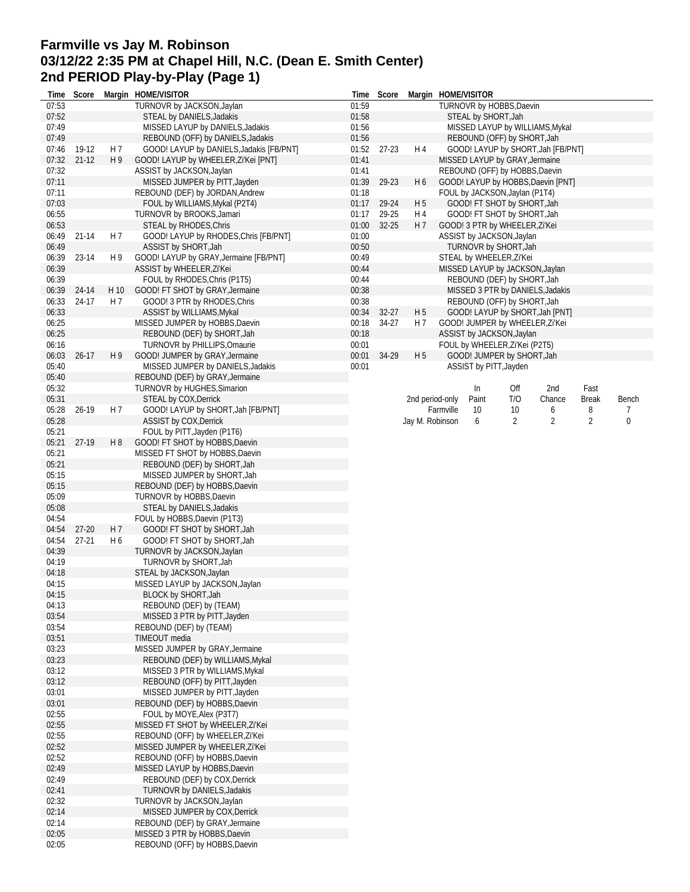# **Farmville vs Jay M. Robinson 03/12/22 2:35 PM at Chapel Hill, N.C. (Dean E. Smith Center) 2nd PERIOD Play-by-Play (Page 1)**

| Time  | Score     |                | Margin HOME/VISITOR                      | Time  | Score     |                 |           | Margin HOME/VISITOR |                                |                                    |       |           |
|-------|-----------|----------------|------------------------------------------|-------|-----------|-----------------|-----------|---------------------|--------------------------------|------------------------------------|-------|-----------|
| 07:53 |           |                | TURNOVR by JACKSON, Jaylan               | 01:59 |           |                 |           |                     | TURNOVR by HOBBS, Daevin       |                                    |       |           |
| 07:52 |           |                | STEAL by DANIELS, Jadakis                | 01:58 |           |                 |           | STEAL by SHORT, Jah |                                |                                    |       |           |
| 07:49 |           |                | MISSED LAYUP by DANIELS, Jadakis         | 01:56 |           |                 |           |                     |                                | MISSED LAYUP by WILLIAMS, Mykal    |       |           |
| 07:49 |           |                | REBOUND (OFF) by DANIELS, Jadakis        | 01:56 |           |                 |           |                     | REBOUND (OFF) by SHORT, Jah    |                                    |       |           |
| 07:46 | 19-12     | H 7            | GOOD! LAYUP by DANIELS, Jadakis [FB/PNT] | 01:52 | $27 - 23$ | H 4             |           |                     |                                | GOOD! LAYUP by SHORT, Jah [FB/PNT] |       |           |
| 07:32 | $21 - 12$ | H <sub>9</sub> | GOOD! LAYUP by WHEELER, Zi'Kei [PNT]     | 01:41 |           |                 |           |                     | MISSED LAYUP by GRAY, Jermaine |                                    |       |           |
| 07:32 |           |                | ASSIST by JACKSON, Jaylan                | 01:41 |           |                 |           |                     | REBOUND (OFF) by HOBBS, Daevin |                                    |       |           |
| 07:11 |           |                | MISSED JUMPER by PITT, Jayden            | 01:39 | 29-23     | H <sub>6</sub>  |           |                     |                                | GOOD! LAYUP by HOBBS, Daevin [PNT] |       |           |
| 07:11 |           |                | REBOUND (DEF) by JORDAN, Andrew          | 01:18 |           |                 |           |                     | FOUL by JACKSON, Jaylan (P1T4) |                                    |       |           |
| 07:03 |           |                | FOUL by WILLIAMS, Mykal (P2T4)           | 01:17 | 29-24     | H <sub>5</sub>  |           |                     | GOOD! FT SHOT by SHORT, Jah    |                                    |       |           |
| 06:55 |           |                | TURNOVR by BROOKS, Jamari                | 01:17 | 29-25     | H 4             |           |                     | GOOD! FT SHOT by SHORT, Jah    |                                    |       |           |
| 06:53 |           |                | STEAL by RHODES, Chris                   | 01:00 | $32 - 25$ | H 7             |           |                     | GOOD! 3 PTR by WHEELER, Zi'Kei |                                    |       |           |
| 06:49 | 21-14     | H 7            | GOOD! LAYUP by RHODES, Chris [FB/PNT]    | 01:00 |           |                 |           |                     | ASSIST by JACKSON, Jaylan      |                                    |       |           |
| 06:49 |           |                | ASSIST by SHORT, Jah                     | 00:50 |           |                 |           |                     | TURNOVR by SHORT, Jah          |                                    |       |           |
| 06:39 | 23-14     | H 9            | GOOD! LAYUP by GRAY, Jermaine [FB/PNT]   | 00:49 |           |                 |           |                     | STEAL by WHEELER, Zi'Kei       |                                    |       |           |
| 06:39 |           |                | ASSIST by WHEELER, Zi'Kei                | 00:44 |           |                 |           |                     |                                | MISSED LAYUP by JACKSON, Jaylan    |       |           |
| 06:39 |           |                | FOUL by RHODES, Chris (P1T5)             | 00:44 |           |                 |           |                     | REBOUND (DEF) by SHORT, Jah    |                                    |       |           |
| 06:39 | 24-14     | H 10           | GOOD! FT SHOT by GRAY, Jermaine          | 00:38 |           |                 |           |                     |                                | MISSED 3 PTR by DANIELS, Jadakis   |       |           |
|       |           |                |                                          |       |           |                 |           |                     |                                |                                    |       |           |
| 06:33 | 24-17     | H 7            | GOOD! 3 PTR by RHODES, Chris             | 00:38 |           |                 |           |                     | REBOUND (OFF) by SHORT, Jah    |                                    |       |           |
| 06:33 |           |                | ASSIST by WILLIAMS, Mykal                | 00:34 | $32 - 27$ | H <sub>5</sub>  |           |                     |                                | GOOD! LAYUP by SHORT, Jah [PNT]    |       |           |
| 06:25 |           |                | MISSED JUMPER by HOBBS, Daevin           | 00:18 | 34-27     | H 7             |           |                     |                                | GOOD! JUMPER by WHEELER, Zi'Kei    |       |           |
| 06:25 |           |                | REBOUND (DEF) by SHORT, Jah              | 00:18 |           |                 |           |                     | ASSIST by JACKSON, Jaylan      |                                    |       |           |
| 06:16 |           |                | TURNOVR by PHILLIPS, Omaurie             | 00:01 |           |                 |           |                     | FOUL by WHEELER, Zi'Kei (P2T5) |                                    |       |           |
| 06:03 | $26 - 17$ | H 9            | GOOD! JUMPER by GRAY, Jermaine           | 00:01 | 34-29     | H <sub>5</sub>  |           |                     | GOOD! JUMPER by SHORT, Jah     |                                    |       |           |
| 05:40 |           |                | MISSED JUMPER by DANIELS, Jadakis        | 00:01 |           |                 |           |                     | ASSIST by PITT, Jayden         |                                    |       |           |
| 05:40 |           |                | REBOUND (DEF) by GRAY, Jermaine          |       |           |                 |           |                     |                                |                                    |       |           |
| 05:32 |           |                | TURNOVR by HUGHES, Simarion              |       |           |                 |           | In                  | Off                            | 2nd                                | Fast  |           |
| 05:31 |           |                | STEAL by COX, Derrick                    |       |           | 2nd period-only |           | Paint               | T/O                            | Chance                             | Break | Bench     |
| 05:28 | 26-19     | H 7            | GOOD! LAYUP by SHORT, Jah [FB/PNT]       |       |           |                 | Farmville | 10                  | 10                             | 6                                  | 8     | 7         |
| 05:28 |           |                | ASSIST by COX, Derrick                   |       |           | Jay M. Robinson |           | 6                   | 2                              | 2                                  | 2     | $\pmb{0}$ |
| 05:21 |           |                | FOUL by PITT, Jayden (P1T6)              |       |           |                 |           |                     |                                |                                    |       |           |
| 05:21 | 27-19     | H8             | GOOD! FT SHOT by HOBBS, Daevin           |       |           |                 |           |                     |                                |                                    |       |           |
|       |           |                |                                          |       |           |                 |           |                     |                                |                                    |       |           |
| 05:21 |           |                | MISSED FT SHOT by HOBBS, Daevin          |       |           |                 |           |                     |                                |                                    |       |           |
| 05:21 |           |                | REBOUND (DEF) by SHORT, Jah              |       |           |                 |           |                     |                                |                                    |       |           |
| 05:15 |           |                | MISSED JUMPER by SHORT, Jah              |       |           |                 |           |                     |                                |                                    |       |           |
| 05:15 |           |                | REBOUND (DEF) by HOBBS, Daevin           |       |           |                 |           |                     |                                |                                    |       |           |
| 05:09 |           |                | TURNOVR by HOBBS, Daevin                 |       |           |                 |           |                     |                                |                                    |       |           |
| 05:08 |           |                | STEAL by DANIELS, Jadakis                |       |           |                 |           |                     |                                |                                    |       |           |
| 04:54 |           |                | FOUL by HOBBS, Daevin (P1T3)             |       |           |                 |           |                     |                                |                                    |       |           |
| 04:54 | $27 - 20$ | H 7            | GOOD! FT SHOT by SHORT, Jah              |       |           |                 |           |                     |                                |                                    |       |           |
| 04:54 | $27 - 21$ | H <sub>6</sub> | GOOD! FT SHOT by SHORT, Jah              |       |           |                 |           |                     |                                |                                    |       |           |
| 04:39 |           |                | TURNOVR by JACKSON, Jaylan               |       |           |                 |           |                     |                                |                                    |       |           |
| 04:19 |           |                | TURNOVR by SHORT, Jah                    |       |           |                 |           |                     |                                |                                    |       |           |
| 04:18 |           |                | STEAL by JACKSON, Jaylan                 |       |           |                 |           |                     |                                |                                    |       |           |
| 04:15 |           |                | MISSED LAYUP by JACKSON, Jaylan          |       |           |                 |           |                     |                                |                                    |       |           |
| 04:15 |           |                | BLOCK by SHORT, Jah                      |       |           |                 |           |                     |                                |                                    |       |           |
| 04:13 |           |                |                                          |       |           |                 |           |                     |                                |                                    |       |           |
|       |           |                | REBOUND (DEF) by (TEAM)                  |       |           |                 |           |                     |                                |                                    |       |           |
| 03:54 |           |                | MISSED 3 PTR by PITT, Jayden             |       |           |                 |           |                     |                                |                                    |       |           |
| 03:54 |           |                | REBOUND (DEF) by (TEAM)                  |       |           |                 |           |                     |                                |                                    |       |           |
| 03:51 |           |                | TIMEOUT media                            |       |           |                 |           |                     |                                |                                    |       |           |
| 03:23 |           |                | MISSED JUMPER by GRAY, Jermaine          |       |           |                 |           |                     |                                |                                    |       |           |
| 03:23 |           |                | REBOUND (DEF) by WILLIAMS, Mykal         |       |           |                 |           |                     |                                |                                    |       |           |
| 03:12 |           |                | MISSED 3 PTR by WILLIAMS, Mykal          |       |           |                 |           |                     |                                |                                    |       |           |
| 03:12 |           |                | REBOUND (OFF) by PITT, Jayden            |       |           |                 |           |                     |                                |                                    |       |           |
| 03:01 |           |                | MISSED JUMPER by PITT, Jayden            |       |           |                 |           |                     |                                |                                    |       |           |
| 03:01 |           |                | REBOUND (DEF) by HOBBS, Daevin           |       |           |                 |           |                     |                                |                                    |       |           |
| 02:55 |           |                | FOUL by MOYE, Alex (P3T7)                |       |           |                 |           |                     |                                |                                    |       |           |
| 02:55 |           |                | MISSED FT SHOT by WHEELER, Zi'Kei        |       |           |                 |           |                     |                                |                                    |       |           |
| 02:55 |           |                | REBOUND (OFF) by WHEELER, Zi'Kei         |       |           |                 |           |                     |                                |                                    |       |           |
| 02:52 |           |                | MISSED JUMPER by WHEELER, Zi'Kei         |       |           |                 |           |                     |                                |                                    |       |           |
| 02:52 |           |                | REBOUND (OFF) by HOBBS, Daevin           |       |           |                 |           |                     |                                |                                    |       |           |
| 02:49 |           |                | MISSED LAYUP by HOBBS, Daevin            |       |           |                 |           |                     |                                |                                    |       |           |
|       |           |                |                                          |       |           |                 |           |                     |                                |                                    |       |           |
| 02:49 |           |                | REBOUND (DEF) by COX, Derrick            |       |           |                 |           |                     |                                |                                    |       |           |
| 02:41 |           |                | TURNOVR by DANIELS, Jadakis              |       |           |                 |           |                     |                                |                                    |       |           |
| 02:32 |           |                | TURNOVR by JACKSON, Jaylan               |       |           |                 |           |                     |                                |                                    |       |           |
| 02:14 |           |                | MISSED JUMPER by COX, Derrick            |       |           |                 |           |                     |                                |                                    |       |           |
| 02:14 |           |                | REBOUND (DEF) by GRAY, Jermaine          |       |           |                 |           |                     |                                |                                    |       |           |
| 02:05 |           |                | MISSED 3 PTR by HOBBS, Daevin            |       |           |                 |           |                     |                                |                                    |       |           |
| 02:05 |           |                | REBOUND (OFF) by HOBBS, Daevin           |       |           |                 |           |                     |                                |                                    |       |           |
|       |           |                |                                          |       |           |                 |           |                     |                                |                                    |       |           |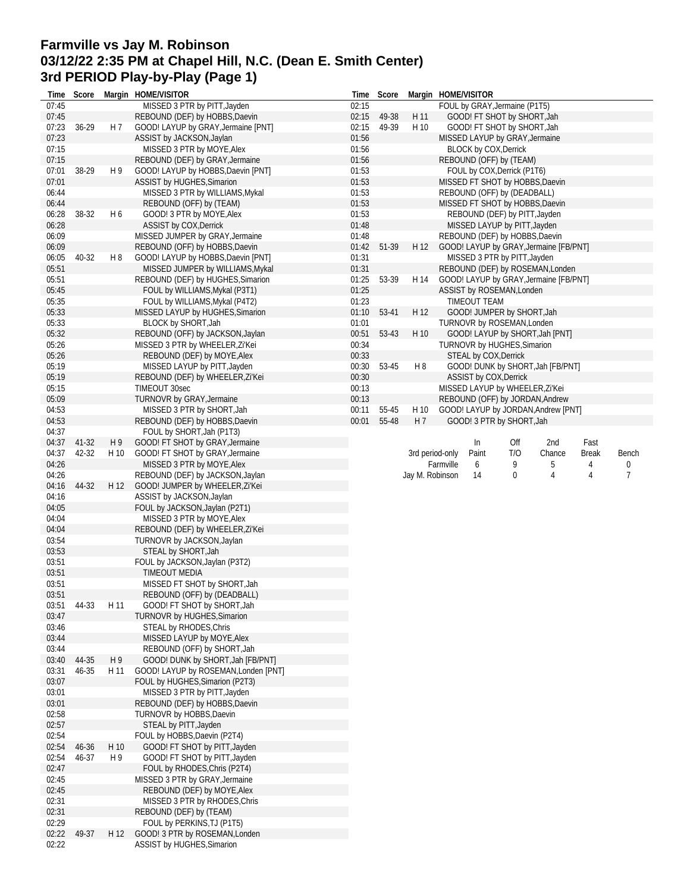## **Farmville vs Jay M. Robinson 03/12/22 2:35 PM at Chapel Hill, N.C. (Dean E. Smith Center) 3rd PERIOD Play-by-Play (Page 1)**

| Time           | Score |                | Margin HOME/VISITOR                                          | Time           | Score |                 | Margin HOME/VISITOR                                                    |
|----------------|-------|----------------|--------------------------------------------------------------|----------------|-------|-----------------|------------------------------------------------------------------------|
| 07:45          |       |                | MISSED 3 PTR by PITT, Jayden                                 | 02:15          |       |                 | FOUL by GRAY, Jermaine (P1T5)                                          |
| 07:45          |       |                | REBOUND (DEF) by HOBBS, Daevin                               | 02:15          | 49-38 | H 11            | GOOD! FT SHOT by SHORT, Jah                                            |
| 07:23          | 36-29 | H 7            | GOOD! LAYUP by GRAY, Jermaine [PNT]                          | 02:15          | 49-39 | H 10            | GOOD! FT SHOT by SHORT, Jah                                            |
| 07:23          |       |                | ASSIST by JACKSON, Jaylan                                    | 01:56          |       |                 | MISSED LAYUP by GRAY, Jermaine                                         |
| 07:15          |       |                | MISSED 3 PTR by MOYE, Alex                                   | 01:56          |       |                 | <b>BLOCK by COX, Derrick</b>                                           |
| 07:15          |       |                | REBOUND (DEF) by GRAY, Jermaine                              | 01:56          |       |                 | REBOUND (OFF) by (TEAM)                                                |
| 07:01          | 38-29 | H <sub>9</sub> | GOOD! LAYUP by HOBBS, Daevin [PNT]                           | 01:53          |       |                 | FOUL by COX, Derrick (P1T6)                                            |
| 07:01          |       |                | ASSIST by HUGHES, Simarion                                   | 01:53          |       |                 | MISSED FT SHOT by HOBBS, Daevin                                        |
| 06:44          |       |                | MISSED 3 PTR by WILLIAMS, Mykal                              | 01:53          |       |                 | REBOUND (OFF) by (DEADBALL)                                            |
| 06:44          |       |                | REBOUND (OFF) by (TEAM)                                      | 01:53          |       |                 | MISSED FT SHOT by HOBBS, Daevin                                        |
| 06:28          | 38-32 | H <sub>6</sub> | GOOD! 3 PTR by MOYE, Alex                                    | 01:53          |       |                 | REBOUND (DEF) by PITT, Jayden                                          |
| 06:28          |       |                | ASSIST by COX, Derrick                                       | 01:48          |       |                 | MISSED LAYUP by PITT, Jayden                                           |
| 06:09          |       |                | MISSED JUMPER by GRAY, Jermaine                              | 01:48          |       |                 | REBOUND (DEF) by HOBBS, Daevin                                         |
| 06:09          |       |                | REBOUND (OFF) by HOBBS, Daevin                               | 01:42          | 51-39 | H 12            | GOOD! LAYUP by GRAY, Jermaine [FB/PNT]                                 |
| 06:05          | 40-32 | H 8            | GOOD! LAYUP by HOBBS, Daevin [PNT]                           | 01:31          |       |                 | MISSED 3 PTR by PITT, Jayden                                           |
| 05:51          |       |                | MISSED JUMPER by WILLIAMS, Mykal                             | 01:31          |       |                 | REBOUND (DEF) by ROSEMAN, Londen                                       |
| 05:51          |       |                | REBOUND (DEF) by HUGHES, Simarion                            | 01:25          | 53-39 | H 14            | GOOD! LAYUP by GRAY, Jermaine [FB/PNT]                                 |
| 05:45          |       |                | FOUL by WILLIAMS, Mykal (P3T1)                               | 01:25          |       |                 | ASSIST by ROSEMAN, Londen                                              |
| 05:35          |       |                | FOUL by WILLIAMS, Mykal (P4T2)                               | 01:23          |       |                 | TIMEOUT TEAM                                                           |
| 05:33          |       |                | MISSED LAYUP by HUGHES, Simarion                             | 01:10          | 53-41 | H 12            | GOOD! JUMPER by SHORT, Jah                                             |
| 05:33          |       |                | BLOCK by SHORT, Jah                                          | 01:01          |       |                 | TURNOVR by ROSEMAN, Londen                                             |
| 05:32          |       |                | REBOUND (OFF) by JACKSON, Jaylan                             | 00:51          | 53-43 | H 10            | GOOD! LAYUP by SHORT, Jah [PNT]                                        |
| 05:26          |       |                | MISSED 3 PTR by WHEELER, Zi'Kei                              | 00:34          |       |                 | TURNOVR by HUGHES, Simarion                                            |
| 05:26<br>05:19 |       |                | REBOUND (DEF) by MOYE, Alex                                  | 00:33<br>00:30 | 53-45 | H <sub>8</sub>  | STEAL by COX, Derrick<br>GOOD! DUNK by SHORT, Jah [FB/PNT]             |
| 05:19          |       |                | MISSED LAYUP by PITT, Jayden                                 | 00:30          |       |                 |                                                                        |
| 05:15          |       |                | REBOUND (DEF) by WHEELER, Zi'Kei<br>TIMEOUT 30sec            | 00:13          |       |                 | ASSIST by COX, Derrick<br>MISSED LAYUP by WHEELER, Zi'Kei              |
| 05:09          |       |                | TURNOVR by GRAY, Jermaine                                    | 00:13          |       |                 |                                                                        |
| 04:53          |       |                | MISSED 3 PTR by SHORT, Jah                                   | 00:11          | 55-45 | H 10            | REBOUND (OFF) by JORDAN, Andrew<br>GOOD! LAYUP by JORDAN, Andrew [PNT] |
| 04:53          |       |                | REBOUND (DEF) by HOBBS, Daevin                               | 00:01          | 55-48 | H <sub>7</sub>  | GOOD! 3 PTR by SHORT, Jah                                              |
| 04:37          |       |                | FOUL by SHORT, Jah (P1T3)                                    |                |       |                 |                                                                        |
| 04:37          | 41-32 | H9             | GOOD! FT SHOT by GRAY, Jermaine                              |                |       |                 | Fast<br>In<br>Off<br>2nd                                               |
| 04:37          | 42-32 | H 10           | GOOD! FT SHOT by GRAY, Jermaine                              |                |       |                 | 3rd period-only<br>Paint<br>T/O<br>Chance<br>Break<br>Bench            |
| 04:26          |       |                | MISSED 3 PTR by MOYE, Alex                                   |                |       |                 | Farmville<br>9<br>5<br>6<br>4<br>0                                     |
|                |       |                |                                                              |                |       |                 |                                                                        |
|                |       |                |                                                              |                |       |                 |                                                                        |
| 04:26          |       |                | REBOUND (DEF) by JACKSON, Jaylan                             |                |       | Jay M. Robinson | 0<br>7<br>14<br>4<br>4                                                 |
| 04:16          | 44-32 | H 12           | GOOD! JUMPER by WHEELER, Zi'Kei                              |                |       |                 |                                                                        |
| 04:16          |       |                | ASSIST by JACKSON, Jaylan                                    |                |       |                 |                                                                        |
| 04:05          |       |                | FOUL by JACKSON, Jaylan (P2T1)                               |                |       |                 |                                                                        |
| 04:04<br>04:04 |       |                | MISSED 3 PTR by MOYE, Alex                                   |                |       |                 |                                                                        |
| 03:54          |       |                | REBOUND (DEF) by WHEELER, Zi'Kei                             |                |       |                 |                                                                        |
|                |       |                | TURNOVR by JACKSON, Jaylan                                   |                |       |                 |                                                                        |
| 03:53<br>03:51 |       |                | STEAL by SHORT, Jah                                          |                |       |                 |                                                                        |
| 03:51          |       |                | FOUL by JACKSON, Jaylan (P3T2)<br><b>TIMEOUT MEDIA</b>       |                |       |                 |                                                                        |
| 03:51          |       |                | MISSED FT SHOT by SHORT, Jah                                 |                |       |                 |                                                                        |
| 03:51          |       |                | REBOUND (OFF) by (DEADBALL)                                  |                |       |                 |                                                                        |
| 03:51          | 44-33 | H 11           | GOOD! FT SHOT by SHORT, Jah                                  |                |       |                 |                                                                        |
| 03:47          |       |                | TURNOVR by HUGHES, Simarion                                  |                |       |                 |                                                                        |
| 03:46          |       |                | STEAL by RHODES, Chris                                       |                |       |                 |                                                                        |
| 03:44          |       |                | MISSED LAYUP by MOYE, Alex                                   |                |       |                 |                                                                        |
| 03:44          |       |                | REBOUND (OFF) by SHORT, Jah                                  |                |       |                 |                                                                        |
| 03:40          | 44-35 | H <sub>9</sub> | GOOD! DUNK by SHORT, Jah [FB/PNT]                            |                |       |                 |                                                                        |
| 03:31          | 46-35 | H 11           | GOOD! LAYUP by ROSEMAN, Londen [PNT]                         |                |       |                 |                                                                        |
| 03:07          |       |                | FOUL by HUGHES, Simarion (P2T3)                              |                |       |                 |                                                                        |
| 03:01          |       |                | MISSED 3 PTR by PITT, Jayden                                 |                |       |                 |                                                                        |
| 03:01          |       |                | REBOUND (DEF) by HOBBS, Daevin                               |                |       |                 |                                                                        |
| 02:58          |       |                | TURNOVR by HOBBS, Daevin                                     |                |       |                 |                                                                        |
| 02:57          |       |                | STEAL by PITT, Jayden                                        |                |       |                 |                                                                        |
| 02:54          |       |                | FOUL by HOBBS, Daevin (P2T4)                                 |                |       |                 |                                                                        |
| 02:54          | 46-36 | H 10           | GOOD! FT SHOT by PITT, Jayden                                |                |       |                 |                                                                        |
| 02:54          | 46-37 | H <sub>9</sub> | GOOD! FT SHOT by PITT, Jayden                                |                |       |                 |                                                                        |
| 02:47          |       |                | FOUL by RHODES, Chris (P2T4)                                 |                |       |                 |                                                                        |
| 02:45          |       |                | MISSED 3 PTR by GRAY, Jermaine                               |                |       |                 |                                                                        |
| 02:45          |       |                | REBOUND (DEF) by MOYE, Alex                                  |                |       |                 |                                                                        |
| 02:31          |       |                | MISSED 3 PTR by RHODES, Chris                                |                |       |                 |                                                                        |
| 02:31          |       |                | REBOUND (DEF) by (TEAM)                                      |                |       |                 |                                                                        |
| 02:29          |       |                | FOUL by PERKINS, TJ (P1T5)                                   |                |       |                 |                                                                        |
| 02:22<br>02:22 | 49-37 | H 12           | GOOD! 3 PTR by ROSEMAN, Londen<br>ASSIST by HUGHES, Simarion |                |       |                 |                                                                        |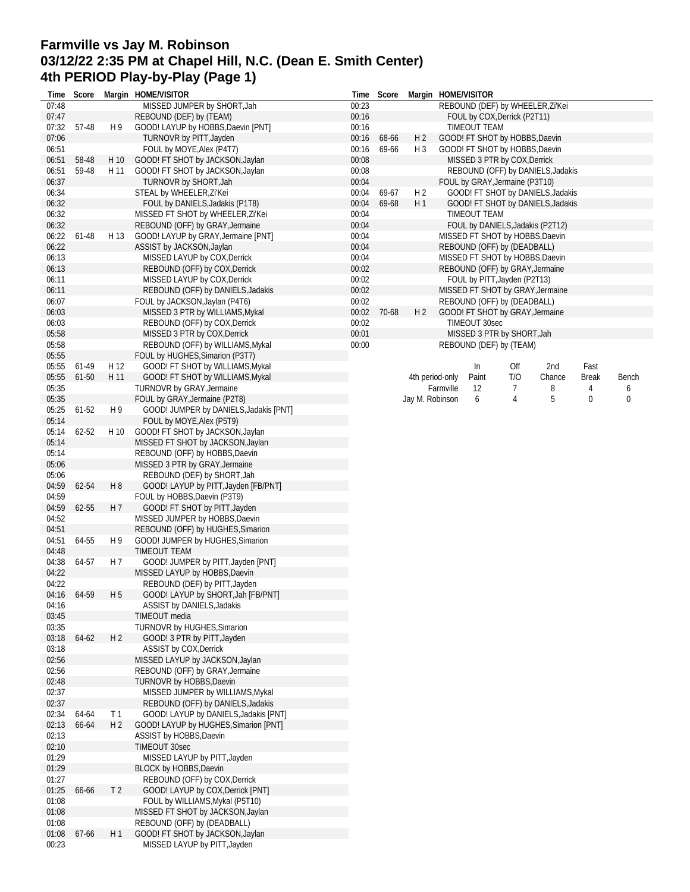# **Farmville vs Jay M. Robinson 03/12/22 2:35 PM at Chapel Hill, N.C. (Dean E. Smith Center) 4th PERIOD Play-by-Play (Page 1)**

| Time           | Score       |                | Margin HOME/VISITOR                                                 | Time  | Score |                 | Margin HOME/VISITOR |                     |                                |                                   |              |       |
|----------------|-------------|----------------|---------------------------------------------------------------------|-------|-------|-----------------|---------------------|---------------------|--------------------------------|-----------------------------------|--------------|-------|
| 07:48          |             |                | MISSED JUMPER by SHORT, Jah                                         | 00:23 |       |                 |                     |                     |                                | REBOUND (DEF) by WHEELER, Zi'Kei  |              |       |
| 07:47          |             |                | REBOUND (DEF) by (TEAM)                                             | 00:16 |       |                 |                     |                     | FOUL by COX, Derrick (P2T11)   |                                   |              |       |
| 07:32          | 57-48       | H 9            | GOOD! LAYUP by HOBBS, Daevin [PNT]                                  | 00:16 |       |                 |                     | <b>TIMEOUT TEAM</b> |                                |                                   |              |       |
| 07:06          |             |                | TURNOVR by PITT, Jayden                                             | 00:16 | 68-66 | H <sub>2</sub>  |                     |                     | GOOD! FT SHOT by HOBBS, Daevin |                                   |              |       |
| 06:51          |             |                | FOUL by MOYE, Alex (P4T7)                                           | 00:16 | 69-66 | $H_3$           |                     |                     | GOOD! FT SHOT by HOBBS, Daevin |                                   |              |       |
| 06:51          | 58-48       | H 10           | GOOD! FT SHOT by JACKSON, Jaylan                                    | 00:08 |       |                 |                     |                     | MISSED 3 PTR by COX, Derrick   |                                   |              |       |
| 06:51          | 59-48       | H 11           | GOOD! FT SHOT by JACKSON, Jaylan                                    | 00:08 |       |                 |                     |                     |                                | REBOUND (OFF) by DANIELS, Jadakis |              |       |
| 06:37          |             |                | TURNOVR by SHORT, Jah                                               | 00:04 |       |                 |                     |                     | FOUL by GRAY, Jermaine (P3T10) |                                   |              |       |
| 06:34          |             |                | STEAL by WHEELER, Zi'Kei                                            | 00:04 | 69-67 | H <sub>2</sub>  |                     |                     |                                | GOOD! FT SHOT by DANIELS, Jadakis |              |       |
| 06:32          |             |                | FOUL by DANIELS, Jadakis (P1T8)                                     | 00:04 | 69-68 | H1              |                     |                     |                                | GOOD! FT SHOT by DANIELS, Jadakis |              |       |
| 06:32          |             |                | MISSED FT SHOT by WHEELER, Zi'Kei                                   | 00:04 |       |                 |                     | TIMEOUT TEAM        |                                |                                   |              |       |
| 06:32          |             |                | REBOUND (OFF) by GRAY, Jermaine                                     | 00:04 |       |                 |                     |                     |                                | FOUL by DANIELS, Jadakis (P2T12)  |              |       |
| 06:22          | 61-48       | H 13           | GOOD! LAYUP by GRAY, Jermaine [PNT]                                 | 00:04 |       |                 |                     |                     |                                | MISSED FT SHOT by HOBBS, Daevin   |              |       |
| 06:22          |             |                | ASSIST by JACKSON, Jaylan                                           | 00:04 |       |                 |                     |                     | REBOUND (OFF) by (DEADBALL)    |                                   |              |       |
| 06:13          |             |                | MISSED LAYUP by COX, Derrick                                        | 00:04 |       |                 |                     |                     |                                | MISSED FT SHOT by HOBBS, Daevin   |              |       |
| 06:13          |             |                | REBOUND (OFF) by COX, Derrick                                       | 00:02 |       |                 |                     |                     |                                | REBOUND (OFF) by GRAY, Jermaine   |              |       |
| 06:11          |             |                | MISSED LAYUP by COX, Derrick                                        | 00:02 |       |                 |                     |                     | FOUL by PITT, Jayden (P2T13)   |                                   |              |       |
| 06:11          |             |                | REBOUND (OFF) by DANIELS, Jadakis                                   | 00:02 |       |                 |                     |                     |                                | MISSED FT SHOT by GRAY, Jermaine  |              |       |
| 06:07          |             |                | FOUL by JACKSON, Jaylan (P4T6)                                      | 00:02 |       |                 |                     |                     | REBOUND (OFF) by (DEADBALL)    |                                   |              |       |
| 06:03          |             |                | MISSED 3 PTR by WILLIAMS, Mykal                                     | 00:02 | 70-68 | H <sub>2</sub>  |                     |                     |                                | GOOD! FT SHOT by GRAY, Jermaine   |              |       |
| 06:03          |             |                | REBOUND (OFF) by COX, Derrick                                       | 00:02 |       |                 |                     | TIMEOUT 30sec       |                                |                                   |              |       |
| 05:58          |             |                | MISSED 3 PTR by COX, Derrick                                        | 00:01 |       |                 |                     |                     | MISSED 3 PTR by SHORT, Jah     |                                   |              |       |
| 05:58          |             |                | REBOUND (OFF) by WILLIAMS, Mykal                                    | 00:00 |       |                 |                     |                     | REBOUND (DEF) by (TEAM)        |                                   |              |       |
| 05:55          |             |                | FOUL by HUGHES, Simarion (P3T7)                                     |       |       |                 |                     |                     |                                |                                   |              |       |
| 05:55          | 61-49       | H 12           | GOOD! FT SHOT by WILLIAMS, Mykal                                    |       |       |                 |                     | In                  | Off                            | 2nd                               | Fast         |       |
| 05:55          | 61-50       | H 11           | GOOD! FT SHOT by WILLIAMS, Mykal                                    |       |       |                 | 4th period-only     | Paint               | T/O                            | Chance                            | <b>Break</b> | Bench |
| 05:35          |             |                | TURNOVR by GRAY, Jermaine                                           |       |       |                 | Farmville           | 12                  | 7                              | 8                                 | 4            | 6     |
| 05:35          |             |                | FOUL by GRAY, Jermaine (P2T8)                                       |       |       | Jay M. Robinson |                     | 6                   | 4                              | 5                                 | 0            | 0     |
| 05:25          | 61-52       | H 9            | GOOD! JUMPER by DANIELS, Jadakis [PNT]                              |       |       |                 |                     |                     |                                |                                   |              |       |
| 05:14          |             |                | FOUL by MOYE, Alex (P5T9)                                           |       |       |                 |                     |                     |                                |                                   |              |       |
| 05:14          | 62-52       | H 10           | GOOD! FT SHOT by JACKSON, Jaylan                                    |       |       |                 |                     |                     |                                |                                   |              |       |
| 05:14          |             |                | MISSED FT SHOT by JACKSON, Jaylan                                   |       |       |                 |                     |                     |                                |                                   |              |       |
| 05:14          |             |                | REBOUND (OFF) by HOBBS, Daevin                                      |       |       |                 |                     |                     |                                |                                   |              |       |
| 05:06          |             |                | MISSED 3 PTR by GRAY, Jermaine                                      |       |       |                 |                     |                     |                                |                                   |              |       |
| 05:06          |             |                | REBOUND (DEF) by SHORT, Jah                                         |       |       |                 |                     |                     |                                |                                   |              |       |
| 04:59          | 62-54       | H <sub>8</sub> | GOOD! LAYUP by PITT, Jayden [FB/PNT]                                |       |       |                 |                     |                     |                                |                                   |              |       |
| 04:59<br>04:59 |             | H 7            | FOUL by HOBBS, Daevin (P3T9)                                        |       |       |                 |                     |                     |                                |                                   |              |       |
| 04:52          | 62-55       |                | GOOD! FT SHOT by PITT, Jayden                                       |       |       |                 |                     |                     |                                |                                   |              |       |
| 04:51          |             |                | MISSED JUMPER by HOBBS, Daevin<br>REBOUND (OFF) by HUGHES, Simarion |       |       |                 |                     |                     |                                |                                   |              |       |
| 04:51          | 64-55       | H9             | GOOD! JUMPER by HUGHES, Simarion                                    |       |       |                 |                     |                     |                                |                                   |              |       |
| 04:48          |             |                | TIMEOUT TEAM                                                        |       |       |                 |                     |                     |                                |                                   |              |       |
| 04:38          | 64-57       | H 7            | GOOD! JUMPER by PITT, Jayden [PNT]                                  |       |       |                 |                     |                     |                                |                                   |              |       |
| 04:22          |             |                | MISSED LAYUP by HOBBS, Daevin                                       |       |       |                 |                     |                     |                                |                                   |              |       |
| 04:22          |             |                | REBOUND (DEF) by PITT, Jayden                                       |       |       |                 |                     |                     |                                |                                   |              |       |
|                | 04:16 64-59 | H <sub>5</sub> | GOOD! LAYUP by SHORT, Jah [FB/PNT]                                  |       |       |                 |                     |                     |                                |                                   |              |       |
| 04:16          |             |                | ASSIST by DANIELS, Jadakis                                          |       |       |                 |                     |                     |                                |                                   |              |       |
| 03:45          |             |                | TIMEOUT media                                                       |       |       |                 |                     |                     |                                |                                   |              |       |
| 03:35          |             |                | TURNOVR by HUGHES, Simarion                                         |       |       |                 |                     |                     |                                |                                   |              |       |
| 03:18          | 64-62       | H <sub>2</sub> | GOOD! 3 PTR by PITT, Jayden                                         |       |       |                 |                     |                     |                                |                                   |              |       |
| 03:18          |             |                | ASSIST by COX, Derrick                                              |       |       |                 |                     |                     |                                |                                   |              |       |
| 02:56          |             |                | MISSED LAYUP by JACKSON, Jaylan                                     |       |       |                 |                     |                     |                                |                                   |              |       |
| 02:56          |             |                | REBOUND (OFF) by GRAY, Jermaine                                     |       |       |                 |                     |                     |                                |                                   |              |       |
| 02:48          |             |                | TURNOVR by HOBBS, Daevin                                            |       |       |                 |                     |                     |                                |                                   |              |       |
| 02:37          |             |                | MISSED JUMPER by WILLIAMS, Mykal                                    |       |       |                 |                     |                     |                                |                                   |              |       |
| 02:37          |             |                | REBOUND (OFF) by DANIELS, Jadakis                                   |       |       |                 |                     |                     |                                |                                   |              |       |
| 02:34          | 64-64       | T 1            | GOOD! LAYUP by DANIELS, Jadakis [PNT]                               |       |       |                 |                     |                     |                                |                                   |              |       |
| 02:13          | 66-64       | H <sub>2</sub> | GOOD! LAYUP by HUGHES, Simarion [PNT]                               |       |       |                 |                     |                     |                                |                                   |              |       |
| 02:13          |             |                | ASSIST by HOBBS, Daevin                                             |       |       |                 |                     |                     |                                |                                   |              |       |
| 02:10          |             |                | TIMEOUT 30sec                                                       |       |       |                 |                     |                     |                                |                                   |              |       |
| 01:29          |             |                | MISSED LAYUP by PITT, Jayden                                        |       |       |                 |                     |                     |                                |                                   |              |       |
| 01:29          |             |                | BLOCK by HOBBS, Daevin                                              |       |       |                 |                     |                     |                                |                                   |              |       |
| 01:27          |             |                | REBOUND (OFF) by COX, Derrick                                       |       |       |                 |                     |                     |                                |                                   |              |       |
| 01:25          | 66-66       | T <sub>2</sub> | GOOD! LAYUP by COX, Derrick [PNT]                                   |       |       |                 |                     |                     |                                |                                   |              |       |
| 01:08          |             |                | FOUL by WILLIAMS, Mykal (P5T10)                                     |       |       |                 |                     |                     |                                |                                   |              |       |
| 01:08          |             |                | MISSED FT SHOT by JACKSON, Jaylan                                   |       |       |                 |                     |                     |                                |                                   |              |       |
| 01:08          |             |                | REBOUND (OFF) by (DEADBALL)                                         |       |       |                 |                     |                     |                                |                                   |              |       |
| 01:08          | 67-66       | H 1            | GOOD! FT SHOT by JACKSON, Jaylan                                    |       |       |                 |                     |                     |                                |                                   |              |       |
| 00:23          |             |                | MISSED LAYUP by PITT, Jayden                                        |       |       |                 |                     |                     |                                |                                   |              |       |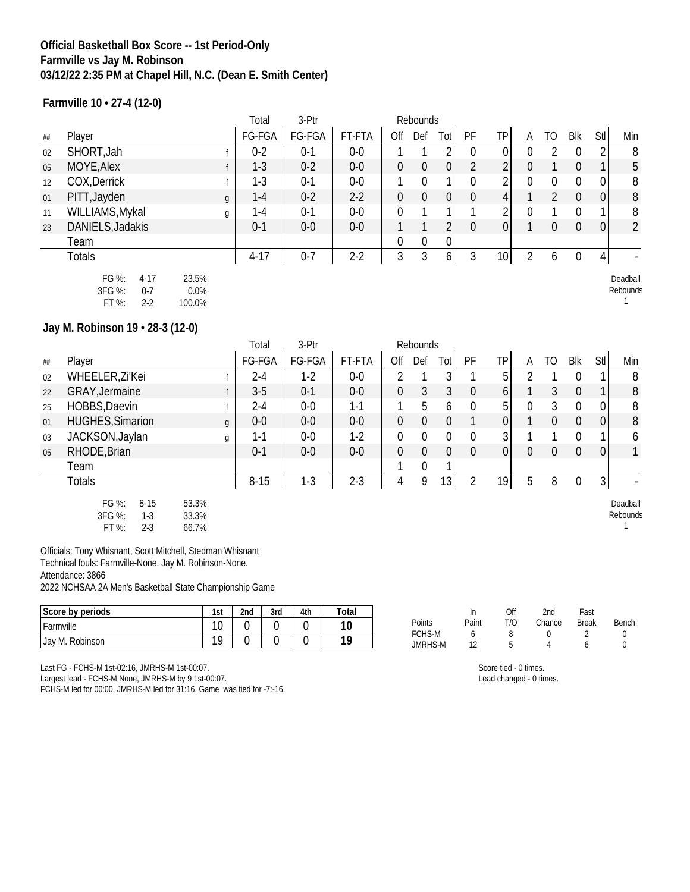## **Official Basketball Box Score -- 1st Period-Only Farmville vs Jay M. Robinson 03/12/22 2:35 PM at Chapel Hill, N.C. (Dean E. Smith Center)**

**Farmville 10 • 27-4 (12-0)**

|         |                                                            |                            | Total   | 3-Ptr   |        |                  | Rebounds       |              |                |                 |          |                |                |                |                          |
|---------|------------------------------------------------------------|----------------------------|---------|---------|--------|------------------|----------------|--------------|----------------|-----------------|----------|----------------|----------------|----------------|--------------------------|
| $\# \#$ | Player                                                     |                            | FG-FGA  | FG-FGA  | FT-FTA | Off              | Def            | Tot          | PF             | <b>TP</b>       | A        | TO             | Blk            | Stl            | Min                      |
| 02      | SHORT, Jah                                                 |                            | $0 - 2$ | $0 - 1$ | $0-0$  |                  |                |              | $\mathbf 0$    | $\vert 0 \vert$ | $\Omega$ | $\mathfrak{D}$ | $\Omega$       | 2              | 8                        |
| 05      | MOYE, Alex                                                 |                            | $1 - 3$ | $0 - 2$ | $0-0$  | $\overline{0}$   | $\overline{0}$ | 0            | $\overline{2}$ | 2               | $\Omega$ |                | $\theta$       | 1              | 5                        |
| 12      | COX, Derrick                                               |                            | $1 - 3$ | $0 - 1$ | $0-0$  |                  | $\mathbf 0$    |              | $\mathbf 0$    | 2               | $\Omega$ | $\mathbf 0$    | $\Omega$       | 0              | 8                        |
| 01      | PITT, Jayden                                               | g                          | $1 - 4$ | $0 - 2$ | $2-2$  | $\boldsymbol{0}$ | $\mathbf 0$    | 0            | $\theta$       | 4               |          | 2              | $\Omega$       | 0              | 8                        |
| 11      | WILLIAMS, Mykal                                            | g                          | $1-4$   | $0 - 1$ | $0-0$  | $\overline{0}$   |                |              |                | 2               | 0        |                | $\Omega$       |                | 8                        |
| 23      | DANIELS, Jadakis                                           |                            | $0 - 1$ | $0-0$   | $0-0$  |                  |                |              | $\theta$       | 0               |          | $\overline{0}$ | $\overline{0}$ | $\pmb{0}$      | $\overline{2}$           |
|         | Team                                                       |                            |         |         |        | $\overline{0}$   | $\mathbf{0}$   | $\mathbf{0}$ |                |                 |          |                |                |                |                          |
|         | <b>Totals</b>                                              |                            | $4-17$  | $0 - 7$ | $2-2$  | 3                | 3              | 6 I          | 3              | 10 <sup>1</sup> |          | 6              | $\overline{0}$ | $\overline{4}$ | $\overline{\phantom{a}}$ |
|         | FG %:<br>$4 - 17$<br>3FG %:<br>$0 - 7$<br>FT %:<br>$2 - 2$ | 23.5%<br>$0.0\%$<br>100.0% |         |         |        |                  |                |              |                |                 |          |                |                |                | Deadball<br>Rebounds     |

#### **Jay M. Robinson 19 • 28-3 (12-0)**

|    | Total<br>3-Ptr<br>Rebounds                               |                         |          |         |         |             |                  |                 |                  |                |                |                  |                |             |                      |
|----|----------------------------------------------------------|-------------------------|----------|---------|---------|-------------|------------------|-----------------|------------------|----------------|----------------|------------------|----------------|-------------|----------------------|
| ## | Player                                                   |                         | FG-FGA   | FG-FGA  | FT-FTA  | Off         | Def              | Totl            | PF               | ΤP             | A              | TO               | Blk            | Stl         | Min                  |
| 02 | WHEELER, Zi'Kei                                          |                         | 2-4      | $1-2$   | $0-0$   | 2           |                  | 3               |                  | 5 <sup>1</sup> |                |                  |                |             | 8                    |
| 22 | GRAY, Jermaine                                           |                         | $3-5$    | $0 - 1$ | $0-0$   | 0           | 3                | 3               | $\boldsymbol{0}$ | 6              |                | 3                | $\theta$       |             | 8                    |
| 25 | HOBBS, Daevin                                            |                         | $2 - 4$  | $0-0$   | $1 - 1$ |             | 5                | 6               | $\mathbf{0}$     | 5 <sup>1</sup> | 0              | 3                | $\Omega$       | 0           | 8                    |
| 01 | <b>HUGHES, Simarion</b>                                  | $\mathfrak{g}$          | $0-0$    | $0-0$   | $0-0$   | 0           | $\boldsymbol{0}$ | 0               |                  | 0              |                | $\overline{0}$   | $\overline{0}$ | 0           | 8                    |
| 03 | JACKSON, Jaylan                                          | g                       | 1-1      | $0-0$   | $1-2$   | 0           | 0                | 0               | $\mathbf{0}$     | 3 <sup>1</sup> |                |                  | 0              |             | 6                    |
| 05 | RHODE, Brian                                             |                         | $0 - 1$  | $0-0$   | $0-0$   | $\mathbf 0$ | $\boldsymbol{0}$ | 0               | $\mathbf 0$      | 0              | $\overline{0}$ | $\boldsymbol{0}$ | $\theta$       | $\mathbf 0$ |                      |
|    | Team                                                     |                         |          |         |         |             | 0                |                 |                  |                |                |                  |                |             |                      |
|    | <b>Totals</b>                                            |                         | $8 - 15$ | $1 - 3$ | $2 - 3$ | 4           | 9                | 13 <sub>l</sub> | $\overline{2}$   | 19             | 5              | 8                | $\theta$       | 3           |                      |
|    | FG %:<br>$8 - 15$<br>3FG %:<br>$1-3$<br>FT %:<br>$2 - 3$ | 53.3%<br>33.3%<br>66.7% |          |         |         |             |                  |                 |                  |                |                |                  |                |             | Deadball<br>Rebounds |

Officials: Tony Whisnant, Scott Mitchell, Stedman Whisnant Technical fouls: Farmville-None. Jay M. Robinson-None. Attendance: 3866

2022 NCHSAA 2A Men's Basketball State Championship Game

| $\sim$<br>Score by periods | 1st | 2nd | 3rd | 4th | Total |                                 | m      | ገዙ<br>Uh | 2nd    | Fast         |       |
|----------------------------|-----|-----|-----|-----|-------|---------------------------------|--------|----------|--------|--------------|-------|
| Farmville                  | 10  |     |     |     | 10    | Points                          | Paint  | T/O      | Chance | <b>Break</b> | Bench |
| Jay M. Robinson            | 10  |     |     |     | 10    | <b>FCHS-M</b><br><b>JMRHS-M</b> | $\sim$ |          |        |              |       |

Last FG - FCHS-M 1st-02:16, JMRHS-M 1st-00:07.

Largest lead - FCHS-M None, JMRHS-M by 9 1st-00:07.

FCHS-M led for 00:00. JMRHS-M led for 31:16. Game was tied for -7:-16.

Score tied - 0 times. Lead changed - 0 times.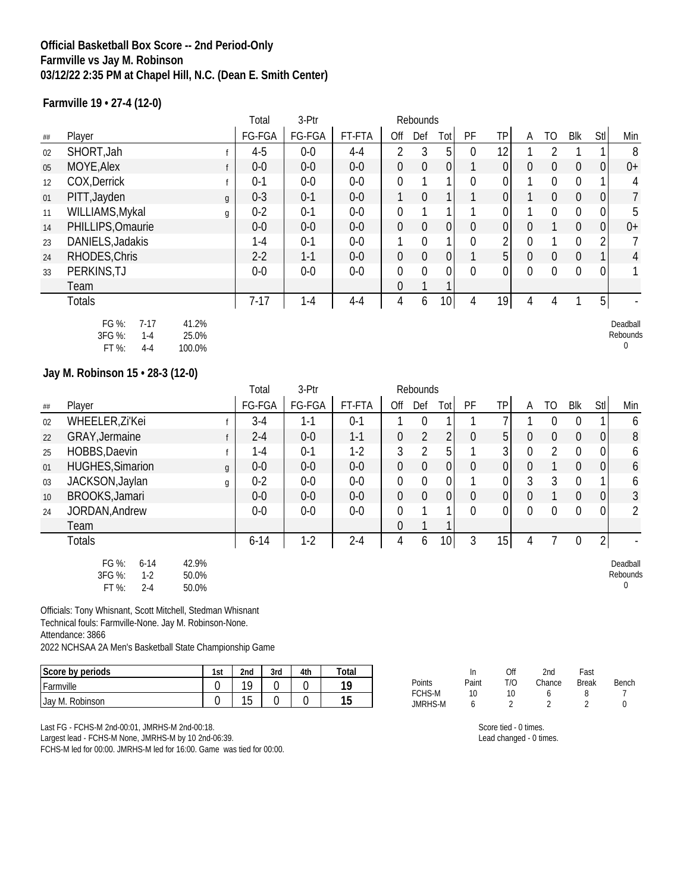## **Official Basketball Box Score -- 2nd Period-Only Farmville vs Jay M. Robinson 03/12/22 2:35 PM at Chapel Hill, N.C. (Dean E. Smith Center)**

**Farmville 19 • 27-4 (12-0)**

|         |                                                                                                                          |                | Total    | 3-Ptr   |         |                  | Rebounds         |                 |                |                  |                |                  |                |                  |                                  |
|---------|--------------------------------------------------------------------------------------------------------------------------|----------------|----------|---------|---------|------------------|------------------|-----------------|----------------|------------------|----------------|------------------|----------------|------------------|----------------------------------|
| $\# \#$ | Player                                                                                                                   |                | FG-FGA   | FG-FGA  | FT-FTA  | Off              | Def              | Tot             | PF             | TP               | A              | T <sub>O</sub>   | <b>Blk</b>     | Stl              | Min                              |
| 02      | SHORT, Jah                                                                                                               | f              | $4 - 5$  | $0-0$   | $4 - 4$ | $\overline{2}$   | 3                | 5               | $\mathbf 0$    | 12               | $\mathbf{1}$   | $\overline{2}$   | $\mathbf{1}$   | $\mathbf{1}$     | 8                                |
| 05      | MOYE, Alex                                                                                                               | f              | $0-0$    | $0-0$   | $0-0$   | $\mathbf 0$      | $\boldsymbol{0}$ | $\mathbf 0$     | $\mathbf{1}$   | $\mathbf{0}$     | $\mathbf 0$    | $\boldsymbol{0}$ | $\mathbf 0$    | $\boldsymbol{0}$ | $0+$                             |
| 12      | COX, Derrick                                                                                                             | f              | $0 - 1$  | $0-0$   | $0 - 0$ | $\mathbf 0$      | 1                | 1               | $\overline{0}$ | $\mathbf 0$      | 1              | $\mathbf 0$      | $\overline{0}$ | 1                | 4                                |
| 01      | PITT, Jayden                                                                                                             | $\mathfrak g$  | $0 - 3$  | $0 - 1$ | $0 - 0$ | $\mathbf{1}$     | $\mathbf 0$      | 1               | $\mathbf{1}$   | $\boldsymbol{0}$ | $\mathbf{1}$   | $\mathbf 0$      | $\mathbf 0$    | $\boldsymbol{0}$ | $\overline{7}$                   |
| 11      | WILLIAMS, Mykal                                                                                                          | g              | $0 - 2$  | $0 - 1$ | $0 - 0$ | $\mathbf 0$      | 1                | 1               | 1              | $\mathbf 0$      | $\mathbf{1}$   | $\mathbf 0$      | $\mathbf 0$    | $\boldsymbol{0}$ | 5                                |
| 14      | PHILLIPS, Omaurie                                                                                                        |                | $0 - 0$  | $0 - 0$ | $0 - 0$ | 0                | $\mathbf 0$      | $\overline{0}$  | $\overline{0}$ | $\mathbf{0}$     | $\theta$       | $\mathbf{1}$     | $\theta$       | $\boldsymbol{0}$ | $0+$                             |
| 23      | DANIELS, Jadakis                                                                                                         |                | $1 - 4$  | $0 - 1$ | $0 - 0$ | 1                | $\mathbf 0$      | 1               | $\mathbf 0$    | 2                | $\mathbf{0}$   | $\mathbf{1}$     | $\mathbf 0$    | $\overline{2}$   | 7                                |
| 24      | RHODES, Chris                                                                                                            |                | $2 - 2$  | $1 - 1$ | $0 - 0$ | $\boldsymbol{0}$ | $\boldsymbol{0}$ | $\mathbf 0$     | $\mathbf{1}$   | 5                | $\overline{0}$ | $\overline{0}$   | $\overline{0}$ | $\mathbf{1}$     | $\overline{4}$                   |
| 33      | PERKINS, TJ                                                                                                              |                | $0 - 0$  | $0-0$   | $0-0$   | $\mathbf 0$      | $\overline{0}$   | 0               | $\overline{0}$ | $\mathbf{0}$     | $\overline{0}$ | $\mathbf 0$      | $\mathbf 0$    | $\mathbf 0$      | 1                                |
|         | Team                                                                                                                     |                |          |         |         | 0                |                  |                 |                |                  |                |                  |                |                  |                                  |
|         | <b>Totals</b>                                                                                                            |                | $7 - 17$ | $1 - 4$ | $4 - 4$ | $\overline{4}$   | 6                | 10              | $\overline{4}$ | 19               | 4              | $\overline{4}$   | 1              | 5                |                                  |
|         | FG %:<br>41.2%<br>$7-17$<br>3FG %:<br>25.0%<br>$1 - 4$<br>FT %:<br>$4 - 4$<br>100.0%<br>Jay M. Robinson 15 · 28-3 (12-0) |                |          |         |         |                  |                  |                 |                |                  |                |                  |                |                  | Deadball<br>Rebounds<br>$\theta$ |
|         |                                                                                                                          |                | Total    | 3-Ptr   |         |                  | Rebounds         |                 |                |                  |                |                  |                |                  |                                  |
| $\# \#$ | Player                                                                                                                   |                | FG-FGA   | FG-FGA  | FT-FTA  | Off              | Def              | Tot             | PF             | TP               | A              | T <sub>O</sub>   | Blk            | Stl              | Min                              |
| 02      | WHEELER, Zi'Kei                                                                                                          | f              | $3 - 4$  | $1 - 1$ | $0 - 1$ | $\mathbf{1}$     | $\mathbf 0$      | $\mathbf{1}$    | $\mathbf{1}$   | $\overline{1}$   | $\mathbf{1}$   | $\mathbf 0$      | $\mathbf 0$    | $\mathbf{1}$     | 6                                |
| 22      | GRAY, Jermaine                                                                                                           | f              | $2 - 4$  | $0-0$   | $1 - 1$ | $\boldsymbol{0}$ | $\sqrt{2}$       | $\overline{2}$  | $\mathbf 0$    | 5                | $\mathbf{0}$   | $\boldsymbol{0}$ | $\mathbf 0$    | $\boldsymbol{0}$ | $\, 8$                           |
| 25      | HOBBS, Daevin                                                                                                            | f              | $1 - 4$  | $0 - 1$ | $1-2$   | 3                | $\overline{2}$   | 5               | $\mathbf{1}$   | 3                | $\mathbf{0}$   | $\overline{2}$   | $\overline{0}$ | $\mathbf 0$      | 6                                |
| 01      | <b>HUGHES, Simarion</b>                                                                                                  | $\mathfrak{g}$ | $0-0$    | $0-0$   |         |                  | $\boldsymbol{0}$ | $\mathbf 0$     | $\mathbf 0$    | $\mathbf 0$      | $\mathbf{0}$   | $\mathbf{1}$     | $\mathbf 0$    | $\mathbf 0$      | 6                                |
|         |                                                                                                                          |                |          |         | $0-0$   | 0                |                  |                 |                |                  |                |                  |                |                  |                                  |
| 03      | JACKSON, Jaylan                                                                                                          | g              | $0 - 2$  | $0-0$   | $0-0$   | 0                | $\mathbf 0$      | 0               | 1              | 0                | 3              | 3                | $\mathbf 0$    | 1                | 6                                |
| 10      | <b>BROOKS, Jamari</b>                                                                                                    |                | $0 - 0$  | $0 - 0$ | $0 - 0$ | $\mathbf 0$      | $\mathbf 0$      | $\mathbf 0$     | $\mathbf 0$    | $\overline{0}$   | $\mathbf{0}$   | $\mathbf{1}$     | $\mathbf 0$    | $\boldsymbol{0}$ | $\mathfrak{Z}$                   |
| 24      | JORDAN, Andrew                                                                                                           |                | $0 - 0$  | $0-0$   | $0-0$   | $\overline{0}$   | 1                | 1               | $\overline{0}$ | $\mathbf{0}$     | $\mathbf{0}$   | $\overline{0}$   | $\mathbf 0$    | $\overline{0}$   | $\overline{2}$                   |
|         | Team                                                                                                                     |                |          |         |         | 0                | 1                | 1               |                |                  |                |                  |                |                  |                                  |
|         | <b>Totals</b>                                                                                                            |                | $6 - 14$ | $1-2$   | $2 - 4$ | $\overline{4}$   | 6                | 10 <sup>1</sup> | $\overline{3}$ | 15               | 4              | $\overline{7}$   | $\overline{0}$ | $\overline{2}$   |                                  |

Officials: Tony Whisnant, Scott Mitchell, Stedman Whisnant Technical fouls: Farmville-None. Jay M. Robinson-None. Attendance: 3866 2022 NCHSAA 2A Men's Basketball State Championship Game

| Score by periods | 1st | 2 <sub>nd</sub> | 3rd | 4th | Total                       |
|------------------|-----|-----------------|-----|-----|-----------------------------|
| Farmville        |     | 10              |     |     | 10                          |
| Jay M. Robinson  |     | 1F<br>ں ،       |     |     | $\mathcal{A}$ $\Gamma$<br>ັ |

Last FG - FCHS-M 2nd-00:01, JMRHS-M 2nd-00:18.

Largest lead - FCHS-M None, JMRHS-M by 10 2nd-06:39.

FCHS-M led for 00:00. JMRHS-M led for 16:00. Game was tied for 00:00.

|               | In    | Off | 2nd    | Fast         |       |
|---------------|-------|-----|--------|--------------|-------|
| <b>Points</b> | Paint | T/N | Chance | <b>Break</b> | Bench |
| <b>FCHS-M</b> | 10    | 10  |        |              |       |
| JMRHS-M       |       | າ   | ി      |              |       |

Score tied - 0 times.

Lead changed - 0 times.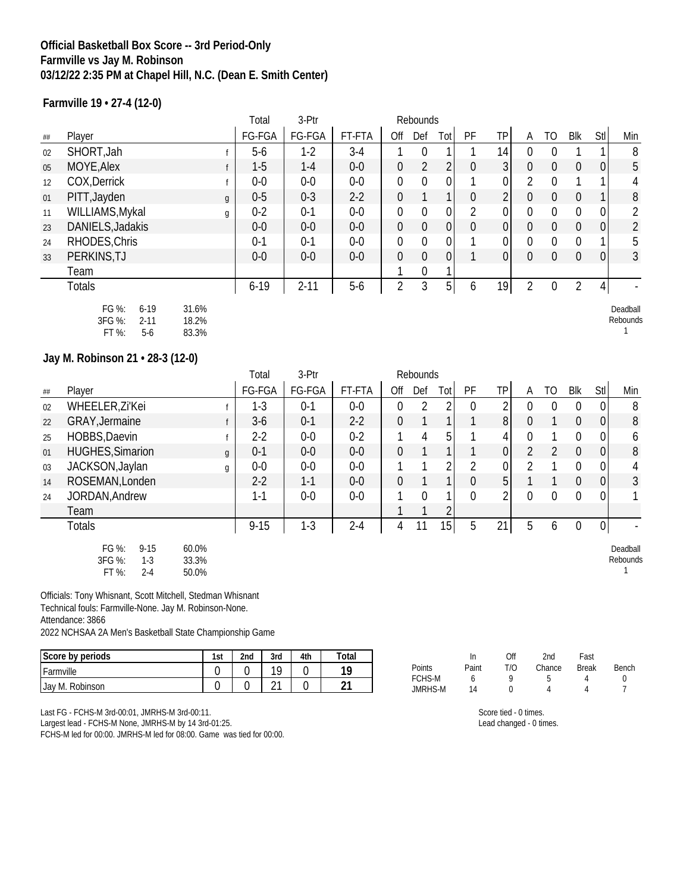## **Official Basketball Box Score -- 3rd Period-Only Farmville vs Jay M. Robinson 03/12/22 2:35 PM at Chapel Hill, N.C. (Dean E. Smith Center)**

**Farmville 19 • 27-4 (12-0)**

|    |                                                         |                         | Total   | 3-Ptr    |        |                  | Rebounds         |                  |                  |                |                |                  |                |                |                      |
|----|---------------------------------------------------------|-------------------------|---------|----------|--------|------------------|------------------|------------------|------------------|----------------|----------------|------------------|----------------|----------------|----------------------|
| ## | Player                                                  |                         | FG-FGA  | FG-FGA   | FT-FTA | Off              | Def              | Tot              | PF               | <b>TP</b>      | A              | TO               | Blk            | Stl            | Min                  |
| 02 | SHORT, Jah                                              |                         | $5-6$   | $1-2$    | $3-4$  |                  | $\mathbf 0$      |                  |                  | 14             | $\Omega$       | $\Omega$         |                |                | 8                    |
| 05 | MOYE, Alex                                              |                         | $1-5$   | $1 - 4$  | $0-0$  | $\boldsymbol{0}$ | $\overline{2}$   | 2                | $\mathbf 0$      | 3 <sup>1</sup> | 0              | $\theta$         | $\overline{0}$ | 0              | 5                    |
| 12 | COX, Derrick                                            |                         | $0-0$   | $0-0$    | $0-0$  | $\overline{0}$   | $\overline{0}$   | 0                |                  | 0              | $\mathfrak{D}$ | $\mathbf{0}$     |                | 1              | 4                    |
| 01 | PITT, Jayden                                            | g                       | $0-5$   | $0 - 3$  | $2-2$  | $\mathbf 0$      |                  |                  | $\boldsymbol{0}$ | $\overline{2}$ | 0              | $\theta$         | $\overline{0}$ |                | 8                    |
| 11 | WILLIAMS, Mykal                                         | g                       | $0 - 2$ | $0 - 1$  | $0-0$  | $\mathbf 0$      | $\mathbf 0$      | $\boldsymbol{0}$ | $\overline{2}$   | 0              | $\Omega$       | $\mathbf{0}$     | $\Omega$       | 0              | 2                    |
| 23 | DANIELS, Jadakis                                        |                         | $0-0$   | $0-0$    | $0-0$  | $\mathbf 0$      | $\mathbf 0$      | 0                | $\mathbf 0$      | 0              | $\overline{0}$ | $\mathbf 0$      | $\overline{0}$ | 0              | $\overline{2}$       |
| 24 | RHODES, Chris                                           |                         | $0 - 1$ | $0 - 1$  | $0-0$  | $\overline{0}$   | $\boldsymbol{0}$ | 0                |                  | 0              | $\Omega$       | $\overline{0}$   | $\mathbf 0$    | 1              | 5                    |
| 33 | PERKINS, TJ                                             |                         | $0-0$   | $0-0$    | $0-0$  | $\mathbf 0$      | $\mathbf 0$      | 0                |                  | 0              | $\overline{0}$ | $\boldsymbol{0}$ | $\overline{0}$ | 0              | $\mathfrak{Z}$       |
|    | Team                                                    |                         |         |          |        |                  | $\mathbf 0$      |                  |                  |                |                |                  |                |                |                      |
|    | <b>Totals</b>                                           |                         | $6-19$  | $2 - 11$ | $5-6$  | $\overline{2}$   | 3                | 5 <sup>1</sup>   | 6                | 19             | $\mathfrak{D}$ | $\mathbf 0$      | 2              | $\overline{4}$ |                      |
|    | FG %:<br>$6 - 19$<br>3FG %:<br>$2 - 11$<br>FT%<br>$5-6$ | 31.6%<br>18.2%<br>83.3% |         |          |        |                  |                  |                  |                  |                |                |                  |                |                | Deadball<br>Rebounds |

#### **Jay M. Robinson 21 • 28-3 (12-0)**

|    |                                                          |                         | Total    | 3-Ptr   |         |                  | Rebounds       |              |          |                |                |              |                  |                |                      |
|----|----------------------------------------------------------|-------------------------|----------|---------|---------|------------------|----------------|--------------|----------|----------------|----------------|--------------|------------------|----------------|----------------------|
| ## | Player                                                   |                         | FG-FGA   | FG-FGA  | FT-FTA  | Off              | Def            | Tot          | PF       | TP             | A              | TO           | Blk              | Stl            | Min                  |
| 02 | WHEELER, Zi'Kei                                          |                         | $1-3$    | $0 - 1$ | $0-0$   | 0                | $\overline{2}$ | 2            | $\Omega$ | າ              | $\Omega$       | 0            | $\overline{0}$   | $\Omega$       | 8                    |
| 22 | GRAY, Jermaine                                           |                         | $3-6$    | $0 - 1$ | $2-2$   | $\overline{0}$   |                | 1            |          | 8 <sup>1</sup> | $\overline{0}$ |              | $\overline{0}$   | $\overline{0}$ | 8                    |
| 25 | HOBBS, Daevin                                            |                         | $2 - 2$  | $0-0$   | $0 - 2$ | 1                | 4              | 5            |          | 4              | $\Omega$       |              | $\Omega$         | $\overline{0}$ | 6                    |
| 01 | <b>HUGHES, Simarion</b>                                  | $\mathfrak{g}$          | $0 - 1$  | $0-0$   | $0-0$   | $\mathbf 0$      |                | $\mathbf{1}$ |          | 0              | $\overline{2}$ | 2            | $\overline{0}$   | $\overline{0}$ | 8                    |
| 03 | JACKSON, Jaylan                                          | g                       | $0-0$    | $0-0$   | $0-0$   | 1                | ◀              | 2            | 2        | 0              | $\mathfrak{D}$ |              | $\Omega$         | $\overline{0}$ | 4                    |
| 14 | ROSEMAN, Londen                                          |                         | $2 - 2$  | $1 - 1$ | $0-0$   | $\boldsymbol{0}$ |                | $\mathbf{1}$ | 0        | 5 <sup>1</sup> |                |              | $\overline{0}$   | $\overline{0}$ | 3                    |
| 24 | JORDAN, Andrew                                           |                         | $1 - 1$  | $0-0$   | $0-0$   | 1                | 0              | 1            | 0        | C              | $\mathbf{0}$   | $\mathbf{0}$ | $\mathbf{0}$     | $\overline{0}$ |                      |
|    | Team                                                     |                         |          |         |         | 1                |                | າ            |          |                |                |              |                  |                |                      |
|    | <b>Totals</b>                                            |                         | $9 - 15$ | $1 - 3$ | $2 - 4$ | 4                | 11             | 15           | 5        | 21             | 5              | 6            | $\boldsymbol{0}$ | 0              |                      |
|    | FG %:<br>$9 - 15$<br>3FG %:<br>$1-3$<br>FT %:<br>$2 - 4$ | 60.0%<br>33.3%<br>50.0% |          |         |         |                  |                |              |          |                |                |              |                  |                | Deadball<br>Rebounds |

Officials: Tony Whisnant, Scott Mitchell, Stedman Whisnant Technical fouls: Farmville-None. Jay M. Robinson-None.

Attendance: 3866

2022 NCHSAA 2A Men's Basketball State Championship Game

| Score by periods | 1st | 2 <sub>nd</sub> | 3rd    | 4th | Total |
|------------------|-----|-----------------|--------|-----|-------|
| Farmville        |     |                 | 10     |     | 1 Q   |
| Jay M. Robinson  |     |                 | $\sim$ |     | ົາ    |

|         | In    | Off | 2nd    | Fast  |       |
|---------|-------|-----|--------|-------|-------|
| Points  | Paint | T/O | Chance | Break | Bench |
| FCHS-M  | 6     | Q   | 5      |       |       |
| JMRHS-M | 14    |     |        | Δ     |       |

Last FG - FCHS-M 3rd-00:01, JMRHS-M 3rd-00:11.

Largest lead - FCHS-M None, JMRHS-M by 14 3rd-01:25.

FCHS-M led for 00:00. JMRHS-M led for 08:00. Game was tied for 00:00.

Score tied - 0 times. Lead changed - 0 times.